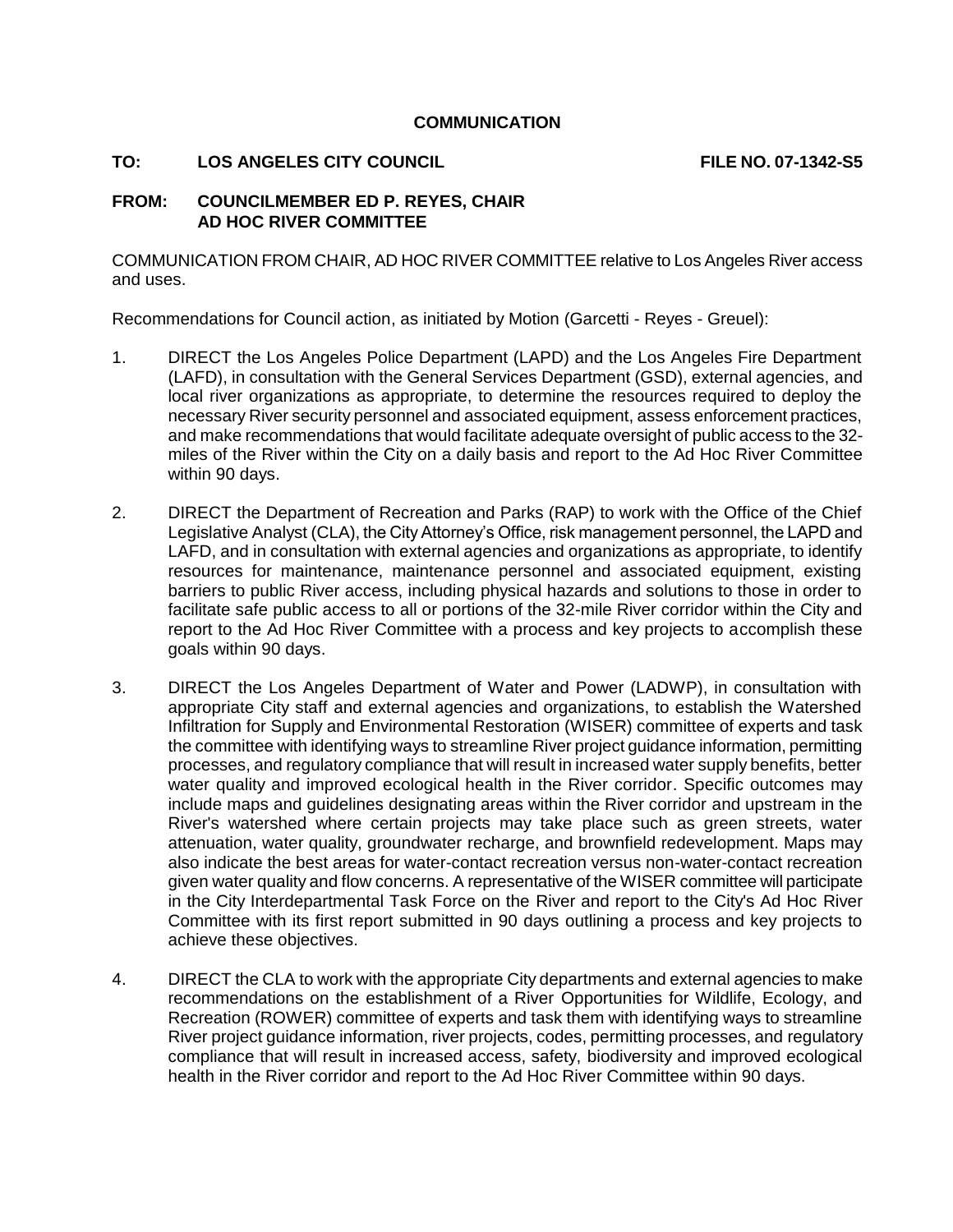## **COMMUNICATION**

## **TO: LOS ANGELES CITY COUNCIL EXAMPLE AND REALLY FILE NO. 07-1342-S5**

## **FROM: COUNCILMEMBER ED P. REYES, CHAIR AD HOC RIVER COMMITTEE**

COMMUNICATION FROM CHAIR, AD HOC RIVER COMMITTEE relative to Los Angeles River access and uses.

Recommendations for Council action, as initiated by Motion (Garcetti - Reyes - Greuel):

- 1. DIRECT the Los Angeles Police Department (LAPD) and the Los Angeles Fire Department (LAFD), in consultation with the General Services Department (GSD), external agencies, and local river organizations as appropriate, to determine the resources required to deploy the necessary River security personnel and associated equipment, assess enforcement practices, and make recommendations that would facilitate adequate oversight of public access to the 32 miles of the River within the City on a daily basis and report to the Ad Hoc River Committee within 90 days.
- 2. DIRECT the Department of Recreation and Parks (RAP) to work with the Office of the Chief Legislative Analyst (CLA), the City Attorney's Office, risk management personnel, the LAPD and LAFD, and in consultation with external agencies and organizations as appropriate, to identify resources for maintenance, maintenance personnel and associated equipment, existing barriers to public River access, including physical hazards and solutions to those in order to facilitate safe public access to all or portions of the 32-mile River corridor within the City and report to the Ad Hoc River Committee with a process and key projects to accomplish these goals within 90 days.
- 3. DIRECT the Los Angeles Department of Water and Power (LADWP), in consultation with appropriate City staff and external agencies and organizations, to establish the Watershed Infiltration for Supply and Environmental Restoration (WISER) committee of experts and task the committee with identifying ways to streamline River project guidance information, permitting processes, and regulatory compliance that will result in increased water supply benefits, better water quality and improved ecological health in the River corridor. Specific outcomes may include maps and guidelines designating areas within the River corridor and upstream in the River's watershed where certain projects may take place such as green streets, water attenuation, water quality, groundwater recharge, and brownfield redevelopment. Maps may also indicate the best areas for water-contact recreation versus non-water-contact recreation given water quality and flow concerns. A representative of the WISER committee will participate in the City Interdepartmental Task Force on the River and report to the City's Ad Hoc River Committee with its first report submitted in 90 days outlining a process and key projects to achieve these objectives.
- 4. DIRECT the CLA to work with the appropriate City departments and external agencies to make recommendations on the establishment of a River Opportunities for Wildlife, Ecology, and Recreation (ROWER) committee of experts and task them with identifying ways to streamline River project guidance information, river projects, codes, permitting processes, and regulatory compliance that will result in increased access, safety, biodiversity and improved ecological health in the River corridor and report to the Ad Hoc River Committee within 90 days.